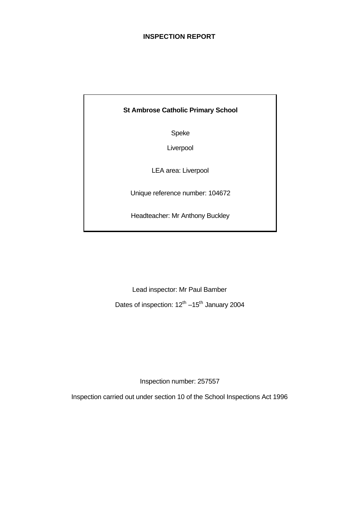# **INSPECTION REPORT**

# **St Ambrose Catholic Primary School**

Speke

Liverpool

LEA area: Liverpool

Unique reference number: 104672

Headteacher: Mr Anthony Buckley

Lead inspector: Mr Paul Bamber

Dates of inspection: 12<sup>th</sup> –15<sup>th</sup> January 2004

Inspection number: 257557

Inspection carried out under section 10 of the School Inspections Act 1996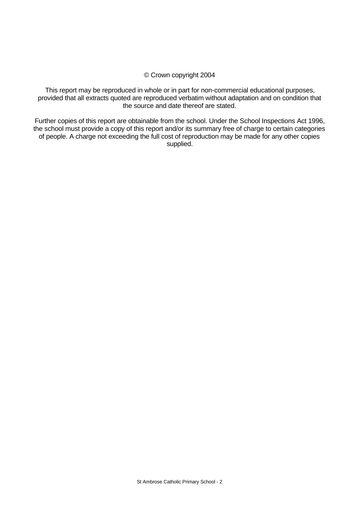### © Crown copyright 2004

This report may be reproduced in whole or in part for non-commercial educational purposes, provided that all extracts quoted are reproduced verbatim without adaptation and on condition that the source and date thereof are stated.

Further copies of this report are obtainable from the school. Under the School Inspections Act 1996, the school must provide a copy of this report and/or its summary free of charge to certain categories of people. A charge not exceeding the full cost of reproduction may be made for any other copies supplied.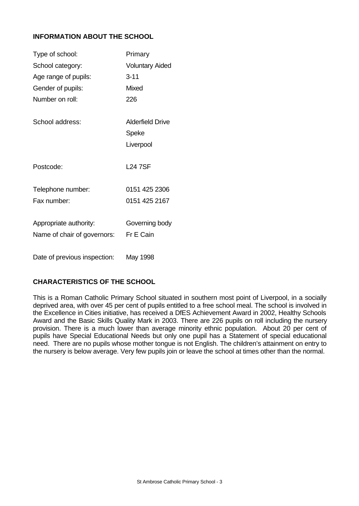# **INFORMATION ABOUT THE SCHOOL**

| Type of school:              | Primary                 |
|------------------------------|-------------------------|
| School category:             | <b>Voluntary Aided</b>  |
| Age range of pupils:         | $3 - 11$                |
| Gender of pupils:            | <b>Mixed</b>            |
| Number on roll:              | 226                     |
|                              |                         |
| School address:              | <b>Alderfield Drive</b> |
|                              | Speke                   |
|                              | Liverpool               |
|                              |                         |
| Postcode:                    | <b>L24 7SF</b>          |
|                              |                         |
| Telephone number:            | 0151 425 2306           |
| Fax number:                  | 0151 425 2167           |
|                              |                         |
| Appropriate authority:       | Governing body          |
| Name of chair of governors:  | Fr E Cain               |
|                              |                         |
| Date of previous inspection: | May 1998                |

# **CHARACTERISTICS OF THE SCHOOL**

This is a Roman Catholic Primary School situated in southern most point of Liverpool, in a socially deprived area, with over 45 per cent of pupils entitled to a free school meal. The school is involved in the Excellence in Cities initiative, has received a DfES Achievement Award in 2002, Healthy Schools Award and the Basic Skills Quality Mark in 2003. There are 226 pupils on roll including the nursery provision. There is a much lower than average minority ethnic population. About 20 per cent of pupils have Special Educational Needs but only one pupil has a Statement of special educational need. There are no pupils whose mother tongue is not English. The children's attainment on entry to the nursery is below average. Very few pupils join or leave the school at times other than the normal.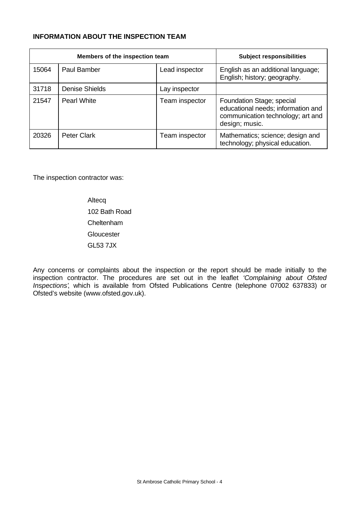# **INFORMATION ABOUT THE INSPECTION TEAM**

| Members of the inspection team |                       |                | <b>Subject responsibilities</b>                                                                                        |
|--------------------------------|-----------------------|----------------|------------------------------------------------------------------------------------------------------------------------|
| 15064                          | Paul Bamber           | Lead inspector | English as an additional language;<br>English; history; geography.                                                     |
| 31718                          | <b>Denise Shields</b> | Lay inspector  |                                                                                                                        |
| 21547                          | Pearl White           | Team inspector | Foundation Stage; special<br>educational needs; information and<br>communication technology; art and<br>design; music. |
| 20326                          | <b>Peter Clark</b>    | Team inspector | Mathematics; science; design and<br>technology; physical education.                                                    |

The inspection contractor was:

Altecq 102 Bath Road Cheltenham **Gloucester** GL53 7JX

Any concerns or complaints about the inspection or the report should be made initially to the inspection contractor. The procedures are set out in the leaflet *'Complaining about Ofsted Inspections'*, which is available from Ofsted Publications Centre (telephone 07002 637833) or Ofsted's website (www.ofsted.gov.uk).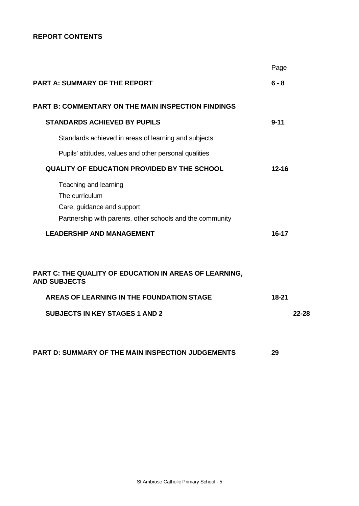# **REPORT CONTENTS**

|                                                                                                                                                                        | Page      |       |
|------------------------------------------------------------------------------------------------------------------------------------------------------------------------|-----------|-------|
| <b>PART A: SUMMARY OF THE REPORT</b>                                                                                                                                   | $6 - 8$   |       |
| <b>PART B: COMMENTARY ON THE MAIN INSPECTION FINDINGS</b>                                                                                                              |           |       |
| <b>STANDARDS ACHIEVED BY PUPILS</b>                                                                                                                                    | $9 - 11$  |       |
| Standards achieved in areas of learning and subjects                                                                                                                   |           |       |
| Pupils' attitudes, values and other personal qualities                                                                                                                 |           |       |
| <b>QUALITY OF EDUCATION PROVIDED BY THE SCHOOL</b>                                                                                                                     | $12 - 16$ |       |
| Teaching and learning<br>The curriculum<br>Care, guidance and support<br>Partnership with parents, other schools and the community<br><b>LEADERSHIP AND MANAGEMENT</b> | 16-17     |       |
| PART C: THE QUALITY OF EDUCATION IN AREAS OF LEARNING,<br><b>AND SUBJECTS</b><br>AREAS OF LEARNING IN THE FOUNDATION STAGE                                             | $18 - 21$ |       |
| <b>SUBJECTS IN KEY STAGES 1 AND 2</b>                                                                                                                                  |           | 22-28 |
| PART D: SUMMARY OF THE MAIN INSPECTION JUDGEMENTS                                                                                                                      | 29        |       |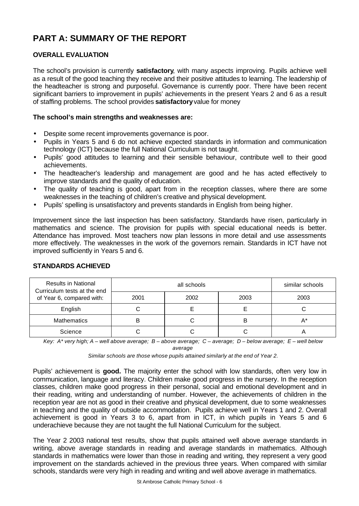# **PART A: SUMMARY OF THE REPORT**

# **OVERALL EVALUATION**

The school's provision is currently **satisfactory**, with many aspects improving. Pupils achieve well as a result of the good teaching they receive and their positive attitudes to learning. The leadership of the headteacher is strong and purposeful. Governance is currently poor. There have been recent significant barriers to improvement in pupils' achievements in the present Years 2 and 6 as a result of staffing problems. The school provides **satisfactory** value for money

# **The school's main strengths and weaknesses are:**

- Despite some recent improvements governance is poor.
- Pupils in Years 5 and 6 do not achieve expected standards in information and communication technology (ICT) because the full National Curriculum is not taught.
- Pupils' good attitudes to learning and their sensible behaviour, contribute well to their good achievements.
- The headteacher's leadership and management are good and he has acted effectively to improve standards and the quality of education.
- The quality of teaching is good, apart from in the reception classes, where there are some weaknesses in the teaching of children's creative and physical development.
- Pupils' spelling is unsatisfactory and prevents standards in English from being higher.

Improvement since the last inspection has been satisfactory. Standards have risen, particularly in mathematics and science. The provision for pupils with special educational needs is better. Attendance has improved. Most teachers now plan lessons in more detail and use assessments more effectively. The weaknesses in the work of the governors remain. Standards in ICT have not improved sufficiently in Years 5 and 6.

| <b>Results in National</b><br>Curriculum tests at the end |      | similar schools |      |      |
|-----------------------------------------------------------|------|-----------------|------|------|
| of Year 6, compared with:                                 | 2001 | 2002            | 2003 | 2003 |
| English                                                   |      |                 |      |      |
| <b>Mathematics</b>                                        | в    |                 | B    |      |
| Science                                                   |      |                 |      |      |

# **STANDARDS ACHIEVED**

*Key: A\* very high; A – well above average; B – above average; C – average; D – below average; E – well below average*

*Similar schools are those whose pupils attained similarly at the end of Year 2.*

Pupils' achievement is **good.** The majority enter the school with low standards, often very low in communication, language and literacy. Children make good progress in the nursery. In the reception classes, children make good progress in their personal, social and emotional development and in their reading, writing and understanding of number. However, the achievements of children in the reception year are not as good in their creative and physical development, due to some weaknesses in teaching and the quality of outside accommodation. Pupils achieve well in Years 1 and 2. Overall achievement is good in Years 3 to 6, apart from in ICT, in which pupils in Years 5 and 6 underachieve because they are not taught the full National Curriculum for the subject.

The Year 2 2003 national test results, show that pupils attained well above average standards in writing, above average standards in reading and average standards in mathematics. Although standards in mathematics were lower than those in reading and writing, they represent a very good improvement on the standards achieved in the previous three years. When compared with similar schools, standards were very high in reading and writing and well above average in mathematics.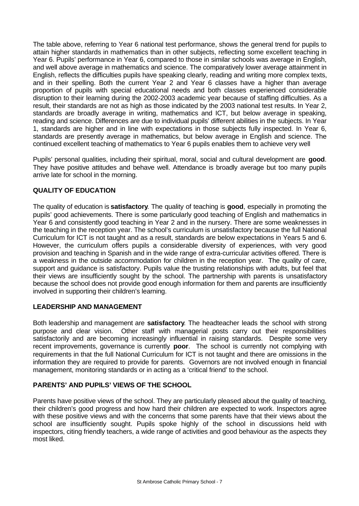The table above, referring to Year 6 national test performance, shows the general trend for pupils to attain higher standards in mathematics than in other subjects, reflecting some excellent teaching in Year 6. Pupils' performance in Year 6, compared to those in similar schools was average in English, and well above average in mathematics and science. The comparatively lower average attainment in English, reflects the difficulties pupils have speaking clearly, reading and writing more complex texts, and in their spelling. Both the current Year 2 and Year 6 classes have a higher than average proportion of pupils with special educational needs and both classes experienced considerable disruption to their learning during the 2002-2003 academic year because of staffing difficulties. As a result, their standards are not as high as those indicated by the 2003 national test results. In Year 2, standards are broadly average in writing, mathematics and ICT, but below average in speaking, reading and science. Differences are due to individual pupils' different abilities in the subjects. In Year 1, standards are higher and in line with expectations in those subjects fully inspected. In Year 6, standards are presently average in mathematics, but below average in English and science. The continued excellent teaching of mathematics to Year 6 pupils enables them to achieve very well

Pupils' personal qualities, including their spiritual, moral, social and cultural development are **good**. They have positive attitudes and behave well. Attendance is broadly average but too many pupils arrive late for school in the morning.

# **QUALITY OF EDUCATION**

The quality of education is **satisfactory**. The quality of teaching is **good**, especially in promoting the pupils' good achievements. There is some particularly good teaching of English and mathematics in Year 6 and consistently good teaching in Year 2 and in the nursery. There are some weaknesses in the teaching in the reception year. The school's curriculum is unsatisfactory because the full National Curriculum for ICT is not taught and as a result, standards are below expectations in Years 5 and 6. However, the curriculum offers pupils a considerable diversity of experiences, with very good provision and teaching in Spanish and in the wide range of extra-curricular activities offered. There is a weakness in the outside accommodation for children in the reception year. The quality of care, support and guidance is satisfactory. Pupils value the trusting relationships with adults, but feel that their views are insufficiently sought by the school. The partnership with parents is unsatisfactory because the school does not provide good enough information for them and parents are insufficiently involved in supporting their children's learning.

# **LEADERSHIP AND MANAGEMENT**

Both leadership and management are **satisfactory**. The headteacher leads the school with strong purpose and clear vision. Other staff with managerial posts carry out their responsibilities satisfactorily and are becoming increasingly influential in raising standards. Despite some very recent improvements, governance is currently **poor**.The school is currently not complying with requirements in that the full National Curriculum for ICT is not taught and there are omissions in the information they are required to provide for parents. Governors are not involved enough in financial management, monitoring standards or in acting as a 'critical friend' to the school.

# **PARENTS' AND PUPILS' VIEWS OF THE SCHOOL**

Parents have positive views of the school. They are particularly pleased about the quality of teaching, their children's good progress and how hard their children are expected to work. Inspectors agree with these positive views and with the concerns that some parents have that their views about the school are insufficiently sought. Pupils spoke highly of the school in discussions held with inspectors, citing friendly teachers, a wide range of activities and good behaviour as the aspects they most liked.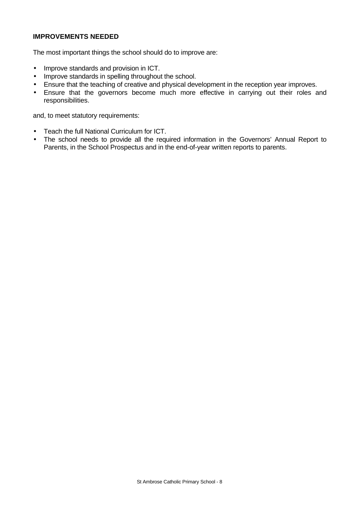# **IMPROVEMENTS NEEDED**

The most important things the school should do to improve are:

- Improve standards and provision in ICT.
- Improve standards in spelling throughout the school.
- Ensure that the teaching of creative and physical development in the reception year improves.
- Ensure that the governors become much more effective in carrying out their roles and responsibilities.

and, to meet statutory requirements:

- Teach the full National Curriculum for ICT.
- The school needs to provide all the required information in the Governors' Annual Report to Parents, in the School Prospectus and in the end-of-year written reports to parents.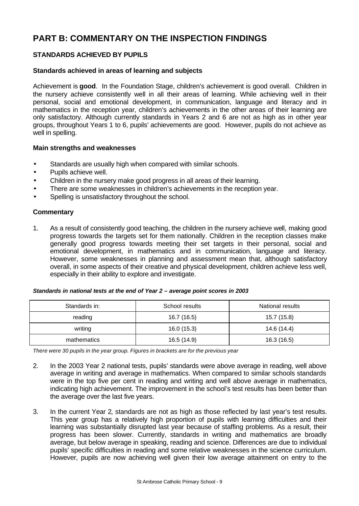# **PART B: COMMENTARY ON THE INSPECTION FINDINGS**

# **STANDARDS ACHIEVED BY PUPILS**

# **Standards achieved in areas of learning and subjects**

Achievement is **good**. In the Foundation Stage, children's achievement is good overall. Children in the nursery achieve consistently well in all their areas of learning. While achieving well in their personal, social and emotional development, in communication, language and literacy and in mathematics in the reception year, children's achievements in the other areas of their learning are only satisfactory. Although currently standards in Years 2 and 6 are not as high as in other year groups, throughout Years 1 to 6, pupils' achievements are good. However, pupils do not achieve as well in spelling.

#### **Main strengths and weaknesses**

- Standards are usually high when compared with similar schools.
- Pupils achieve well.
- Children in the nursery make good progress in all areas of their learning.
- There are some weaknesses in children's achievements in the reception year.
- Spelling is unsatisfactory throughout the school.

#### **Commentary**

1. As a result of consistently good teaching, the children in the nursery achieve well, making good progress towards the targets set for them nationally. Children in the reception classes make generally good progress towards meeting their set targets in their personal, social and emotional development, in mathematics and in communication, language and literacy. However, some weaknesses in planning and assessment mean that, although satisfactory overall, in some aspects of their creative and physical development, children achieve less well, especially in their ability to explore and investigate.

| Standards in national tests at the end of Year 2 - average point scores in 2003 |  |
|---------------------------------------------------------------------------------|--|
|                                                                                 |  |

| Standards in: | School results | National results |
|---------------|----------------|------------------|
| reading       | 16.7 (16.5)    | 15.7 (15.8)      |
| writing       | 16.0(15.3)     | 14.6 (14.4)      |
| mathematics   | 16.5 (14.9)    | 16.3 (16.5)      |

*There were 30 pupils in the year group. Figures in brackets are for the previous year*

- 2. In the 2003 Year 2 national tests, pupils' standards were above average in reading, well above average in writing and average in mathematics. When compared to similar schools standards were in the top five per cent in reading and writing and well above average in mathematics, indicating high achievement. The improvement in the school's test results has been better than the average over the last five years.
- 3. In the current Year 2, standards are not as high as those reflected by last year's test results. This year group has a relatively high proportion of pupils with learning difficulties and their learning was substantially disrupted last year because of staffing problems. As a result, their progress has been slower. Currently, standards in writing and mathematics are broadly average, but below average in speaking, reading and science. Differences are due to individual pupils' specific difficulties in reading and some relative weaknesses in the science curriculum. However, pupils are now achieving well given their low average attainment on entry to the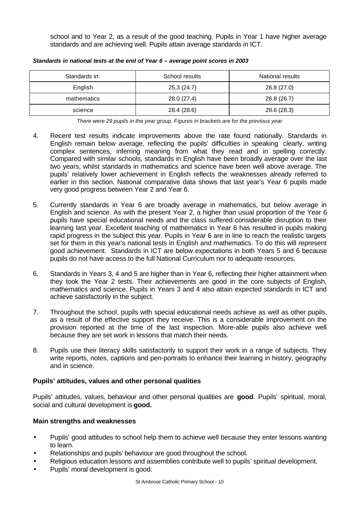school and to Year 2, as a result of the good teaching. Pupils in Year 1 have higher average standards and are achieving well. Pupils attain average standards in ICT.

| Standards in: | School results | National results |
|---------------|----------------|------------------|
| English       | 25.3 (24.7)    | 26.8 (27.0)      |
| mathematics   | 28.0 (27.4)    | 26.8 (26.7)      |
| science       | 28.4 (28.6)    | 28.6 (28.3)      |

*Standards in national tests at the end of Year 6 – average point scores in 2003*

*There were 29 pupils in the year group. Figures in brackets are for the previous year*

- 4. Recent test results indicate improvements above the rate found nationally. Standards in English remain below average, reflecting the pupils' difficulties in speaking clearly, writing complex sentences, inferring meaning from what they read and in spelling correctly. Compared with similar schools, standards in English have been broadly average over the last two years, whilst standards in mathematics and science have been well above average. The pupils' relatively lower achievement in English reflects the weaknesses already referred to earlier in this section. National comparative data shows that last year's Year 6 pupils made very good progress between Year 2 and Year 6.
- 5. Currently standards in Year 6 are broadly average in mathematics, but below average in English and science. As with the present Year 2, a higher than usual proportion of the Year 6 pupils have special educational needs and the class suffered considerable disruption to their learning last year. Excellent teaching of mathematics in Year 6 has resulted in pupils making rapid progress in the subject this year. Pupils in Year 6 are in line to reach the realistic targets set for them in this year's national tests in English and mathematics. To do this will represent good achievement. Standards in ICT are below expectations in both Years 5 and 6 because pupils do not have access to the full National Curriculum nor to adequate resources.
- 6. Standards in Years 3, 4 and 5 are higher than in Year 6, reflecting their higher attainment when they took the Year 2 tests. Their achievements are good in the core subjects of English, mathematics and science. Pupils in Years 3 and 4 also attain expected standards in ICT and achieve satisfactorily in the subject.
- 7. Throughout the school, pupils with special educational needs achieve as well as other pupils, as a result of the effective support they receive. This is a considerable improvement on the provision reported at the time of the last inspection. More-able pupils also achieve well because they are set work in lessons that match their needs.
- 8. Pupils use their literacy skills satisfactorily to support their work in a range of subjects. They write reports, notes, captions and pen-portraits to enhance their learning in history, geography and in science.

# **Pupils' attitudes, values and other personal qualities**

Pupils' attitudes, values, behaviour and other personal qualities are **good**. Pupils' spiritual, moral, social and cultural development is **good.**

# **Main strengths and weaknesses**

- Pupils' good attitudes to school help them to achieve well because they enter lessons wanting to learn.
- Relationships and pupils' behaviour are good throughout the school.
- Religious education lessons and assemblies contribute well to pupils' spiritual development.
- Pupils' moral development is good.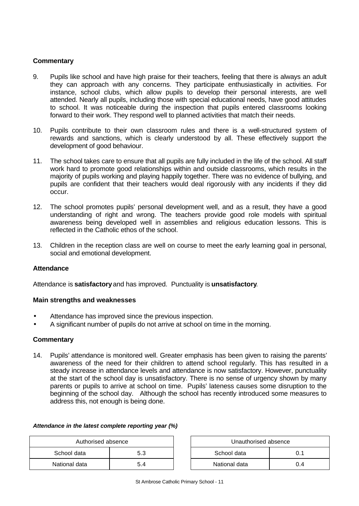# **Commentary**

- 9. Pupils like school and have high praise for their teachers, feeling that there is always an adult they can approach with any concerns. They participate enthusiastically in activities. For instance, school clubs, which allow pupils to develop their personal interests, are well attended. Nearly all pupils, including those with special educational needs, have good attitudes to school. It was noticeable during the inspection that pupils entered classrooms looking forward to their work. They respond well to planned activities that match their needs.
- 10. Pupils contribute to their own classroom rules and there is a well-structured system of rewards and sanctions, which is clearly understood by all. These effectively support the development of good behaviour.
- 11. The school takes care to ensure that all pupils are fully included in the life of the school. All staff work hard to promote good relationships within and outside classrooms, which results in the majority of pupils working and playing happily together. There was no evidence of bullying, and pupils are confident that their teachers would deal rigorously with any incidents if they did occur.
- 12. The school promotes pupils' personal development well, and as a result, they have a good understanding of right and wrong. The teachers provide good role models with spiritual awareness being developed well in assemblies and religious education lessons. This is reflected in the Catholic ethos of the school.
- 13. Children in the reception class are well on course to meet the early learning goal in personal, social and emotional development.

# **Attendance**

Attendance is **satisfactory** and has improved. Punctuality is **unsatisfactory**.

#### **Main strengths and weaknesses**

- Attendance has improved since the previous inspection.
- A significant number of pupils do not arrive at school on time in the morning.

#### **Commentary**

14. Pupils' attendance is monitored well. Greater emphasis has been given to raising the parents' awareness of the need for their children to attend school regularly. This has resulted in a steady increase in attendance levels and attendance is now satisfactory. However, punctuality at the start of the school day is unsatisfactory. There is no sense of urgency shown by many parents or pupils to arrive at school on time. Pupils' lateness causes some disruption to the beginning of the school day. Although the school has recently introduced some measures to address this, not enough is being done.

| Authorised absence |     | Unauthorised absence |     |
|--------------------|-----|----------------------|-----|
| School data        | 5.3 | School data          |     |
| National data      | 5.4 | National data        | 0.4 |

# *Attendance in the latest complete reporting year (%)*

| Unauthorised absence |     |  |  |
|----------------------|-----|--|--|
| School data<br>0 1   |     |  |  |
| National data        | በ 4 |  |  |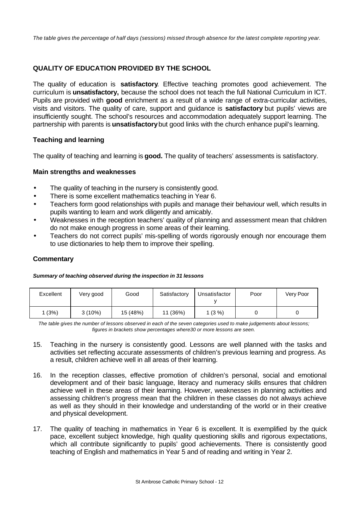*The table gives the percentage of half days (sessions) missed through absence for the latest complete reporting year.*

# **QUALITY OF EDUCATION PROVIDED BY THE SCHOOL**

The quality of education is **satisfactory**. Effective teaching promotes good achievement. The curriculum is **unsatisfactory,** because the school does not teach the full National Curriculum in ICT. Pupils are provided with **good** enrichment as a result of a wide range of extra-curricular activities, visits and visitors. The quality of care, support and guidance is **satisfactory** but pupils' views are insufficiently sought. The school's resources and accommodation adequately support learning. The partnership with parents is **unsatisfactory** but good links with the church enhance pupil's learning.

# **Teaching and learning**

The quality of teaching and learning is **good.** The quality of teachers' assessments is satisfactory.

#### **Main strengths and weaknesses**

- The quality of teaching in the nursery is consistently good.
- There is some excellent mathematics teaching in Year 6.
- Teachers form good relationships with pupils and manage their behaviour well, which results in pupils wanting to learn and work diligently and amicably.
- Weaknesses in the reception teachers' quality of planning and assessment mean that children do not make enough progress in some areas of their learning.
- Teachers do not correct pupils' mis-spelling of words rigorously enough nor encourage them to use dictionaries to help them to improve their spelling.

# **Commentary**

#### *Summary of teaching observed during the inspection in 31 lessons*

| Excellent | Very good | Good     | Satisfactory | Unsatisfactor | Poor | Very Poor |
|-----------|-----------|----------|--------------|---------------|------|-----------|
| (3%)      | $3(10\%)$ | 15 (48%) | 11 (36%)     | $1(3\%)$      |      |           |

*The table gives the number of lessons observed in each of the seven categories used to make judgements about lessons; figures in brackets show percentages where30 or more lessons are seen.*

- 15. Teaching in the nursery is consistently good. Lessons are well planned with the tasks and activities set reflecting accurate assessments of children's previous learning and progress. As a result, children achieve well in all areas of their learning.
- 16. In the reception classes, effective promotion of children's personal, social and emotional development and of their basic language, literacy and numeracy skills ensures that children achieve well in these areas of their learning. However, weaknesses in planning activities and assessing children's progress mean that the children in these classes do not always achieve as well as they should in their knowledge and understanding of the world or in their creative and physical development.
- 17. The quality of teaching in mathematics in Year 6 is excellent. It is exemplified by the quick pace, excellent subject knowledge, high quality questioning skills and rigorous expectations, which all contribute significantly to pupils' good achievements. There is consistently good teaching of English and mathematics in Year 5 and of reading and writing in Year 2.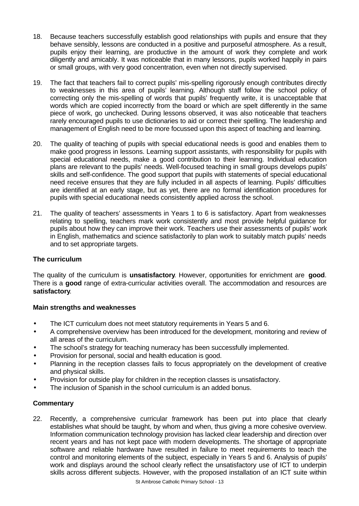- 18. Because teachers successfully establish good relationships with pupils and ensure that they behave sensibly, lessons are conducted in a positive and purposeful atmosphere. As a result, pupils enjoy their learning, are productive in the amount of work they complete and work diligently and amicably. It was noticeable that in many lessons, pupils worked happily in pairs or small groups, with very good concentration, even when not directly supervised.
- 19. The fact that teachers fail to correct pupils' mis-spelling rigorously enough contributes directly to weaknesses in this area of pupils' learning. Although staff follow the school policy of correcting only the mis-spelling of words that pupils' frequently write, it is unacceptable that words which are copied incorrectly from the board or which are spelt differently in the same piece of work, go unchecked. During lessons observed, it was also noticeable that teachers rarely encouraged pupils to use dictionaries to aid or correct their spelling. The leadership and management of English need to be more focussed upon this aspect of teaching and learning.
- 20. The quality of teaching of pupils with special educational needs is good and enables them to make good progress in lessons. Learning support assistants, with responsibility for pupils with special educational needs, make a good contribution to their learning. Individual education plans are relevant to the pupils' needs. Well-focused teaching in small groups develops pupils' skills and self-confidence. The good support that pupils with statements of special educational need receive ensures that they are fully included in all aspects of learning. Pupils' difficulties are identified at an early stage, but as yet, there are no formal identification procedures for pupils with special educational needs consistently applied across the school.
- 21. The quality of teachers' assessments in Years 1 to 6 is satisfactory. Apart from weaknesses relating to spelling, teachers mark work consistently and most provide helpful guidance for pupils about how they can improve their work. Teachers use their assessments of pupils' work in English, mathematics and science satisfactorily to plan work to suitably match pupils' needs and to set appropriate targets.

# **The curriculum**

The quality of the curriculum is **unsatisfactory**. However, opportunities for enrichment are **good**. There is a **good** range of extra-curricular activities overall. The accommodation and resources are **satisfactory**.

# **Main strengths and weaknesses**

- The ICT curriculum does not meet statutory requirements in Years 5 and 6.
- A comprehensive overview has been introduced for the development, monitoring and review of all areas of the curriculum.
- The school's strategy for teaching numeracy has been successfully implemented.
- Provision for personal, social and health education is good.
- Planning in the reception classes fails to focus appropriately on the development of creative and physical skills.
- Provision for outside play for children in the reception classes is unsatisfactory.
- The inclusion of Spanish in the school curriculum is an added bonus.

# **Commentary**

22. Recently, a comprehensive curricular framework has been put into place that clearly establishes what should be taught, by whom and when, thus giving a more cohesive overview. Information communication technology provision has lacked clear leadership and direction over recent years and has not kept pace with modern developments. The shortage of appropriate software and reliable hardware have resulted in failure to meet requirements to teach the control and monitoring elements of the subject, especially in Years 5 and 6. Analysis of pupils' work and displays around the school clearly reflect the unsatisfactory use of ICT to underpin skills across different subjects. However, with the proposed installation of an ICT suite within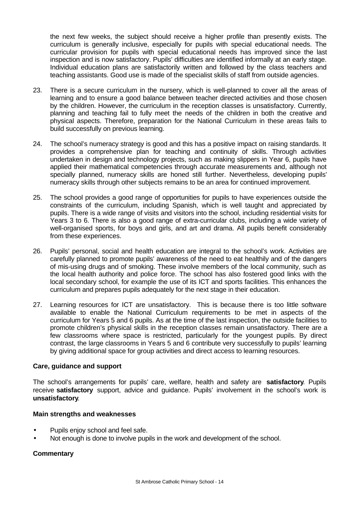the next few weeks, the subject should receive a higher profile than presently exists. The curriculum is generally inclusive, especially for pupils with special educational needs. The curricular provision for pupils with special educational needs has improved since the last inspection and is now satisfactory. Pupils' difficulties are identified informally at an early stage. Individual education plans are satisfactorily written and followed by the class teachers and teaching assistants. Good use is made of the specialist skills of staff from outside agencies.

- 23. There is a secure curriculum in the nursery, which is well-planned to cover all the areas of learning and to ensure a good balance between teacher directed activities and those chosen by the children. However, the curriculum in the reception classes is unsatisfactory. Currently, planning and teaching fail to fully meet the needs of the children in both the creative and physical aspects. Therefore, preparation for the National Curriculum in these areas fails to build successfully on previous learning.
- 24. The school's numeracy strategy is good and this has a positive impact on raising standards. It provides a comprehensive plan for teaching and continuity of skills. Through activities undertaken in design and technology projects, such as making slippers in Year 6, pupils have applied their mathematical competencies through accurate measurements and, although not specially planned, numeracy skills are honed still further. Nevertheless, developing pupils' numeracy skills through other subjects remains to be an area for continued improvement.
- 25. The school provides a good range of opportunities for pupils to have experiences outside the constraints of the curriculum, including Spanish, which is well taught and appreciated by pupils. There is a wide range of visits and visitors into the school, including residential visits for Years 3 to 6. There is also a good range of extra-curricular clubs, including a wide variety of well-organised sports, for boys and girls, and art and drama. All pupils benefit considerably from these experiences.
- 26. Pupils' personal, social and health education are integral to the school's work. Activities are carefully planned to promote pupils' awareness of the need to eat healthily and of the dangers of mis-using drugs and of smoking. These involve members of the local community, such as the local health authority and police force. The school has also fostered good links with the local secondary school, for example the use of its ICT and sports facilities. This enhances the curriculum and prepares pupils adequately for the next stage in their education.
- 27. Learning resources for ICT are unsatisfactory. This is because there is too little software available to enable the National Curriculum requirements to be met in aspects of the curriculum for Years 5 and 6 pupils. As at the time of the last inspection, the outside facilities to promote children's physical skills in the reception classes remain unsatisfactory. There are a few classrooms where space is restricted, particularly for the youngest pupils. By direct contrast, the large classrooms in Years 5 and 6 contribute very successfully to pupils' learning by giving additional space for group activities and direct access to learning resources.

# **Care, guidance and support**

The school's arrangements for pupils' care, welfare, health and safety are **satisfactory**. Pupils receive **satisfactory** support, advice and guidance. Pupils' involvement in the school's work is **unsatisfactory**.

# **Main strengths and weaknesses**

- Pupils enjoy school and feel safe.
- Not enough is done to involve pupils in the work and development of the school.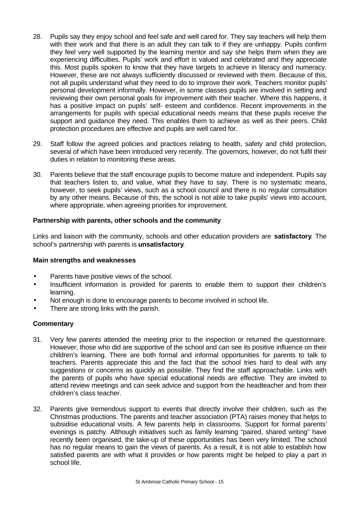- 28. Pupils say they enjoy school and feel safe and well cared for. They say teachers will help them with their work and that there is an adult they can talk to if they are unhappy. Pupils confirm they feel very well supported by the learning mentor and say she helps them when they are experiencing difficulties. Pupils' work and effort is valued and celebrated and they appreciate this. Most pupils spoken to know that they have targets to achieve in literacy and numeracy. However, these are not always sufficiently discussed or reviewed with them. Because of this, not all pupils understand what they need to do to improve their work. Teachers monitor pupils' personal development informally. However, in some classes pupils are involved in setting and reviewing their own personal goals for improvement with their teacher. Where this happens, it has a positive impact on pupils' self- esteem and confidence. Recent improvements in the arrangements for pupils with special educational needs means that these pupils receive the support and guidance they need. This enables them to achieve as well as their peers. Child protection procedures are effective and pupils are well cared for.
- 29. Staff follow the agreed policies and practices relating to health, safety and child protection, several of which have been introduced very recently. The governors, however, do not fulfil their duties in relation to monitoring these areas.
- 30. Parents believe that the staff encourage pupils to become mature and independent. Pupils say that teachers listen to, and value, what they have to say. There is no systematic means, however, to seek pupils' views, such as a school council and there is no regular consultation by any other means. Because of this, the school is not able to take pupils' views into account, where appropriate, when agreeing priorities for improvement.

# **Partnership with parents, other schools and the community**

Links and liaison with the community, schools and other education providers are **satisfactory**. The school's partnership with parents is **unsatisfactory**.

# **Main strengths and weaknesses**

- Parents have positive views of the school.
- Insufficient information is provided for parents to enable them to support their children's learning.
- Not enough is done to encourage parents to become involved in school life.
- There are strong links with the parish.

- 31. Very few parents attended the meeting prior to the inspection or returned the questionnaire. However, those who did are supportive of the school and can see its positive influence on their children's learning. There are both formal and informal opportunities for parents to talk to teachers. Parents appreciate this and the fact that the school tries hard to deal with any suggestions or concerns as quickly as possible. They find the staff approachable. Links with the parents of pupils who have special educational needs are effective. They are invited to attend review meetings and can seek advice and support from the headteacher and from their children's class teacher.
- 32. Parents give tremendous support to events that directly involve their children, such as the Christmas productions. The parents and teacher association (PTA) raises money that helps to subsidise educational visits. A few parents help in classrooms. Support for formal parents' evenings is patchy. Although initiatives such as family learning "paired, shared writing" have recently been organised, the take-up of these opportunities has been very limited. The school has no regular means to gain the views of parents. As a result, it is not able to establish how satisfied parents are with what it provides or how parents might be helped to play a part in school life.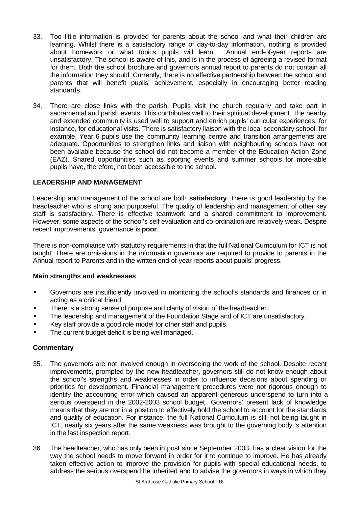- 33. Too little information is provided for parents about the school and what their children are learning. Whilst there is a satisfactory range of day-to-day information, nothing is provided about homework or what topics pupils will learn. Annual end-of-year reports are unsatisfactory. The school is aware of this, and is in the process of agreeing a revised format for them. Both the school brochure and governors annual report to parents do not contain all the information they should. Currently, there is no effective partnership between the school and parents that will benefit pupils' achievement, especially in encouraging better reading standards.
- 34. There are close links with the parish. Pupils visit the church regularly and take part in sacramental and parish events. This contributes well to their spiritual development. The nearby and extended community is used well to support and enrich pupils' curricular experiences, for instance, for educational visits. There is satisfactory liaison with the local secondary school, for example, Year 6 pupils use the community learning centre and transition arrangements are adequate. Opportunities to strengthen links and liaison with neighbouring schools have not been available because the school did not become a member of the Education Action Zone (EAZ). Shared opportunities such as sporting events and summer schools for more-able pupils have, therefore, not been accessible to the school.

# **LEADERSHIP AND MANAGEMENT**

Leadership and management of the school are both **satisfactory**. There is good leadership by the headteacher who is strong and purposeful. The quality of leadership and management of other key staff is satisfactory. There is effective teamwork and a shared commitment to improvement. However, some aspects of the school's self evaluation and co-ordination are relatively weak. Despite recent improvements, governance is **poor**.

There is non-compliance with statutory requirements in that the full National Curriculum for ICT is not taught. There are omissions in the information governors are required to provide to parents in the Annual report to Parents and in the written end-of-year reports about pupils' progress.

#### **Main strengths and weaknesses**

- Governors are insufficiently involved in monitoring the school's standards and finances or in acting as a critical friend.
- There is a strong sense of purpose and clarity of vision of the headteacher.
- The leadership and management of the Foundation Stage and of ICT are unsatisfactory.
- Key staff provide a good role model for other staff and pupils.
- The current budget deficit is being well managed.

- 35. The governors are not involved enough in overseeing the work of the school. Despite recent improvements, prompted by the new headteacher, governors still do not know enough about the school's strengths and weaknesses in order to influence decisions about spending or priorities for development. Financial management procedures were not rigorous enough to identify the accounting error which caused an apparent generous underspend to turn into a serious overspend in the 2002-2003 school budget. Governors' present lack of knowledge means that they are not in a position to effectively hold the school to account for the standards and quality of education. For instance, the full National Curriculum is still not being taught in ICT, nearly six years after the same weakness was brought to the governing body 's attention in the last inspection report.
- 36. The headteacher, who has only been in post since September 2003, has a clear vision for the way the school needs to move forward in order for it to continue to improve. He has already taken effective action to improve the provision for pupils with special educational needs, to address the serious overspend he inherited and to advise the governors in ways in which they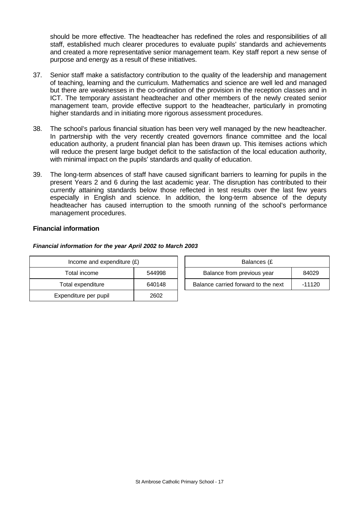should be more effective. The headteacher has redefined the roles and responsibilities of all staff, established much clearer procedures to evaluate pupils' standards and achievements and created a more representative senior management team. Key staff report a new sense of purpose and energy as a result of these initiatives.

- 37. Senior staff make a satisfactory contribution to the quality of the leadership and management of teaching, learning and the curriculum. Mathematics and science are well led and managed but there are weaknesses in the co-ordination of the provision in the reception classes and in ICT. The temporary assistant headteacher and other members of the newly created senior management team, provide effective support to the headteacher, particularly in promoting higher standards and in initiating more rigorous assessment procedures.
- 38. The school's parlous financial situation has been very well managed by the new headteacher. In partnership with the very recently created governors finance committee and the local education authority, a prudent financial plan has been drawn up. This itemises actions which will reduce the present large budget deficit to the satisfaction of the local education authority, with minimal impact on the pupils' standards and quality of education.
- 39. The long-term absences of staff have caused significant barriers to learning for pupils in the present Years 2 and 6 during the last academic year. The disruption has contributed to their currently attaining standards below those reflected in test results over the last few years especially in English and science. In addition, the long-term absence of the deputy headteacher has caused interruption to the smooth running of the school's performance management procedures.

# **Financial information**

#### *Financial information for the year April 2002 to March 2003*

| Income and expenditure $(E)$ |        | Balances (£                         |        |
|------------------------------|--------|-------------------------------------|--------|
| Total income                 | 544998 | Balance from previous year          | 84029  |
| Total expenditure            | 640148 | Balance carried forward to the next | -11120 |
| Expenditure per pupil        | 2602   |                                     |        |

| Balances (£                         |          |  |  |
|-------------------------------------|----------|--|--|
| Balance from previous year          | 84029    |  |  |
| Balance carried forward to the next | $-11120$ |  |  |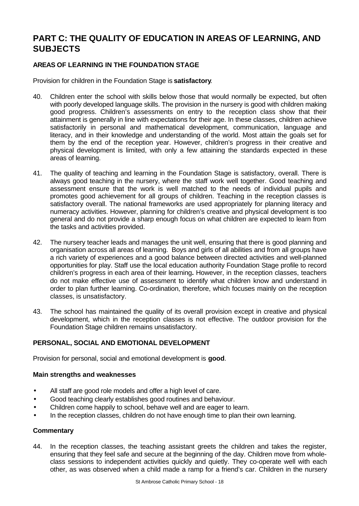# **PART C: THE QUALITY OF EDUCATION IN AREAS OF LEARNING, AND SUBJECTS**

# **AREAS OF LEARNING IN THE FOUNDATION STAGE**

Provision for children in the Foundation Stage is **satisfactory**.

- 40. Children enter the school with skills below those that would normally be expected, but often with poorly developed language skills. The provision in the nursery is good with children making good progress. Children's assessments on entry to the reception class show that their attainment is generally in line with expectations for their age. In these classes, children achieve satisfactorily in personal and mathematical development, communication, language and literacy, and in their knowledge and understanding of the world. Most attain the goals set for them by the end of the reception year. However, children's progress in their creative and physical development is limited, with only a few attaining the standards expected in these areas of learning.
- 41. The quality of teaching and learning in the Foundation Stage is satisfactory, overall. There is always good teaching in the nursery, where the staff work well together. Good teaching and assessment ensure that the work is well matched to the needs of individual pupils and promotes good achievement for all groups of children. Teaching in the reception classes is satisfactory overall. The national frameworks are used appropriately for planning literacy and numeracy activities. However, planning for children's creative and physical development is too general and do not provide a sharp enough focus on what children are expected to learn from the tasks and activities provided.
- 42. The nursery teacher leads and manages the unit well, ensuring that there is good planning and organisation across all areas of learning. Boys and girls of all abilities and from all groups have a rich variety of experiences and a good balance between directed activities and well-planned opportunities for play. Staff use the local education authority Foundation Stage profile to record children's progress in each area of their learning**.** However, in the reception classes, teachers do not make effective use of assessment to identify what children know and understand in order to plan further learning. Co-ordination, therefore, which focuses mainly on the reception classes, is unsatisfactory.
- 43. The school has maintained the quality of its overall provision except in creative and physical development, which in the reception classes is not effective. The outdoor provision for the Foundation Stage children remains unsatisfactory.

# **PERSONAL, SOCIAL AND EMOTIONAL DEVELOPMENT**

Provision for personal, social and emotional development is **good**.

# **Main strengths and weaknesses**

- All staff are good role models and offer a high level of care.
- Good teaching clearly establishes good routines and behaviour.
- Children come happily to school, behave well and are eager to learn.
- In the reception classes, children do not have enough time to plan their own learning.

# **Commentary**

44. In the reception classes, the teaching assistant greets the children and takes the register, ensuring that they feel safe and secure at the beginning of the day. Children move from wholeclass sessions to independent activities quickly and quietly. They co-operate well with each other, as was observed when a child made a ramp for a friend's car. Children in the nursery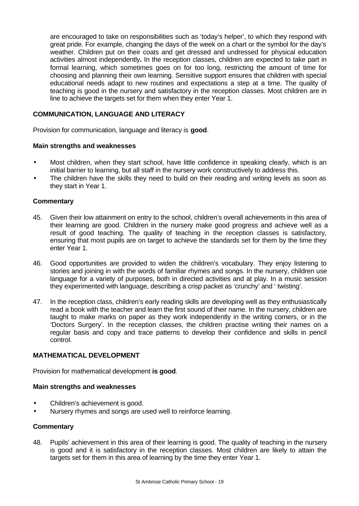are encouraged to take on responsibilities such as 'today's helper', to which they respond with great pride. For example, changing the days of the week on a chart or the symbol for the day's weather. Children put on their coats and get dressed and undressed for physical education activities almost independently**.** In the reception classes, children are expected to take part in formal learning, which sometimes goes on for too long, restricting the amount of time for choosing and planning their own learning. Sensitive support ensures that children with special educational needs adapt to new routines and expectations a step at a time. The quality of teaching is good in the nursery and satisfactory in the reception classes. Most children are in line to achieve the targets set for them when they enter Year 1.

# **COMMUNICATION, LANGUAGE AND LITERACY**

Provision for communication, language and literacy is **good**.

#### **Main strengths and weaknesses**

- Most children, when they start school, have little confidence in speaking clearly, which is an initial barrier to learning, but all staff in the nursery work constructively to address this.
- The children have the skills they need to build on their reading and writing levels as soon as they start in Year 1.

#### **Commentary**

- 45. Given their low attainment on entry to the school, children's overall achievements in this area of their learning are good. Children in the nursery make good progress and achieve well as a result of good teaching. The quality of teaching in the reception classes is satisfactory, ensuring that most pupils are on target to achieve the standards set for them by the time they enter Year 1.
- 46. Good opportunities are provided to widen the children's vocabulary. They enjoy listening to stories and joining in with the words of familiar rhymes and songs. In the nursery, children use language for a variety of purposes, both in directed activities and at play. In a music session they experimented with language, describing a crisp packet as 'crunchy' and ' twisting'.
- 47. In the reception class, children's early reading skills are developing well as they enthusiastically read a book with the teacher and learn the first sound of their name. In the nursery, children are taught to make marks on paper as they work independently in the writing corners, or in the 'Doctors Surgery'. In the reception classes, the children practise writing their names on a regular basis and copy and trace patterns to develop their confidence and skills in pencil control.

# **MATHEMATICAL DEVELOPMENT**

Provision for mathematical development **is good**.

#### **Main strengths and weaknesses**

- Children's achievement is good.
- Nursery rhymes and songs are used well to reinforce learning.

# **Commentary**

48. Pupils' achievement in this area of their learning is good. The quality of teaching in the nursery is good and it is satisfactory in the reception classes. Most children are likely to attain the targets set for them in this area of learning by the time they enter Year 1.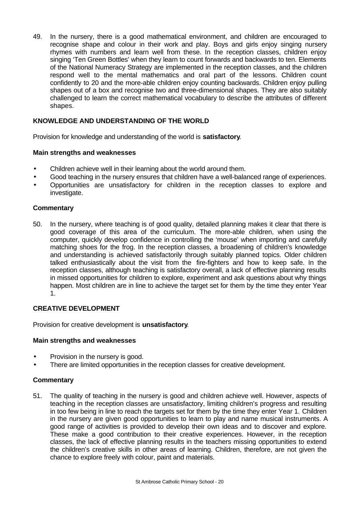49. In the nursery, there is a good mathematical environment, and children are encouraged to recognise shape and colour in their work and play. Boys and girls enjoy singing nursery rhymes with numbers and learn well from these. In the reception classes, children enjoy singing 'Ten Green Bottles' when they learn to count forwards and backwards to ten. Elements of the National Numeracy Strategy are implemented in the reception classes, and the children respond well to the mental mathematics and oral part of the lessons. Children count confidently to 20 and the more-able children enjoy counting backwards. Children enjoy pulling shapes out of a box and recognise two and three-dimensional shapes. They are also suitably challenged to learn the correct mathematical vocabulary to describe the attributes of different shapes.

# **KNOWLEDGE AND UNDERSTANDING OF THE WORLD**

Provision for knowledge and understanding of the world is **satisfactory**.

#### **Main strengths and weaknesses**

- Children achieve well in their learning about the world around them.
- Good teaching in the nursery ensures that children have a well-balanced range of experiences.
- Opportunities are unsatisfactory for children in the reception classes to explore and investigate.

#### **Commentary**

50. In the nursery, where teaching is of good quality, detailed planning makes it clear that there is good coverage of this area of the curriculum. The more-able children, when using the computer, quickly develop confidence in controlling the 'mouse' when importing and carefully matching shoes for the frog. In the reception classes, a broadening of children's knowledge and understanding is achieved satisfactorily through suitably planned topics. Older children talked enthusiastically about the visit from the fire-fighters and how to keep safe. In the reception classes, although teaching is satisfactory overall, a lack of effective planning results in missed opportunities for children to explore, experiment and ask questions about why things happen. Most children are in line to achieve the target set for them by the time they enter Year 1.

# **CREATIVE DEVELOPMENT**

Provision for creative development is **unsatisfactory**.

#### **Main strengths and weaknesses**

- Provision in the nursery is good.
- There are limited opportunities in the reception classes for creative development.

#### **Commentary**

51. The quality of teaching in the nursery is good and children achieve well. However, aspects of teaching in the reception classes are unsatisfactory, limiting children's progress and resulting in too few being in line to reach the targets set for them by the time they enter Year 1. Children in the nursery are given good opportunities to learn to play and name musical instruments. A good range of activities is provided to develop their own ideas and to discover and explore. These make a good contribution to their creative experiences. However, in the reception classes, the lack of effective planning results in the teachers missing opportunities to extend the children's creative skills in other areas of learning. Children, therefore, are not given the chance to explore freely with colour, paint and materials.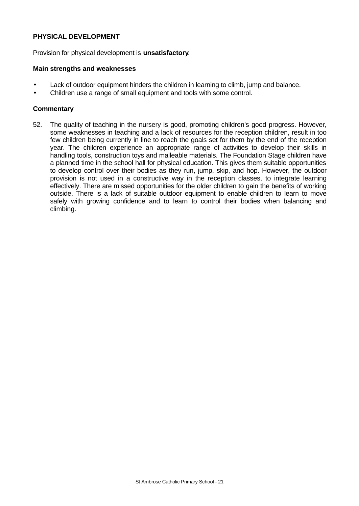### **PHYSICAL DEVELOPMENT**

Provision for physical development is **unsatisfactory**.

#### **Main strengths and weaknesses**

- Lack of outdoor equipment hinders the children in learning to climb, jump and balance.
- Children use a range of small equipment and tools with some control.

#### **Commentary**

52. The quality of teaching in the nursery is good, promoting children's good progress. However, some weaknesses in teaching and a lack of resources for the reception children, result in too few children being currently in line to reach the goals set for them by the end of the reception year. The children experience an appropriate range of activities to develop their skills in handling tools, construction toys and malleable materials. The Foundation Stage children have a planned time in the school hall for physical education. This gives them suitable opportunities to develop control over their bodies as they run, jump, skip, and hop. However, the outdoor provision is not used in a constructive way in the reception classes, to integrate learning effectively. There are missed opportunities for the older children to gain the benefits of working outside. There is a lack of suitable outdoor equipment to enable children to learn to move safely with growing confidence and to learn to control their bodies when balancing and climbing.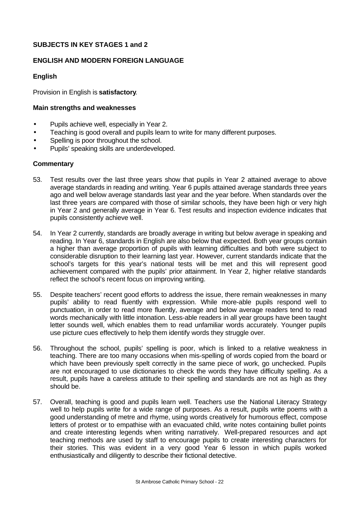# **SUBJECTS IN KEY STAGES 1 and 2**

# **ENGLISH AND MODERN FOREIGN LANGUAGE**

# **English**

Provision in English is **satisfactory**.

### **Main strengths and weaknesses**

- Pupils achieve well, especially in Year 2.
- Teaching is good overall and pupils learn to write for many different purposes.
- Spelling is poor throughout the school.
- Pupils' speaking skills are underdeveloped.

- 53. Test results over the last three years show that pupils in Year 2 attained average to above average standards in reading and writing. Year 6 pupils attained average standards three years ago and well below average standards last year and the year before. When standards over the last three years are compared with those of similar schools, they have been high or very high in Year 2 and generally average in Year 6. Test results and inspection evidence indicates that pupils consistently achieve well.
- 54. In Year 2 currently, standards are broadly average in writing but below average in speaking and reading. In Year 6, standards in English are also below that expected. Both year groups contain a higher than average proportion of pupils with learning difficulties and both were subject to considerable disruption to their learning last year. However, current standards indicate that the school's targets for this year's national tests will be met and this will represent good achievement compared with the pupils' prior attainment. In Year 2, higher relative standards reflect the school's recent focus on improving writing.
- 55. Despite teachers' recent good efforts to address the issue, there remain weaknesses in many pupils' ability to read fluently with expression. While more-able pupils respond well to punctuation, in order to read more fluently, average and below average readers tend to read words mechanically with little intonation. Less-able readers in all year groups have been taught letter sounds well, which enables them to read unfamiliar words accurately. Younger pupils use picture cues effectively to help them identify words they struggle over.
- 56. Throughout the school, pupils' spelling is poor, which is linked to a relative weakness in teaching. There are too many occasions when mis-spelling of words copied from the board or which have been previously spelt correctly in the same piece of work, go unchecked. Pupils are not encouraged to use dictionaries to check the words they have difficulty spelling. As a result, pupils have a careless attitude to their spelling and standards are not as high as they should be.
- 57. Overall, teaching is good and pupils learn well. Teachers use the National Literacy Strategy well to help pupils write for a wide range of purposes. As a result, pupils write poems with a good understanding of metre and rhyme, using words creatively for humorous effect, compose letters of protest or to empathise with an evacuated child, write notes containing bullet points and create interesting legends when writing narratively. Well-prepared resources and apt teaching methods are used by staff to encourage pupils to create interesting characters for their stories. This was evident in a very good Year 6 lesson in which pupils worked enthusiastically and diligently to describe their fictional detective.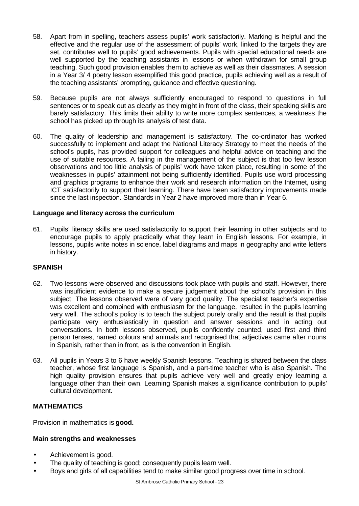- 58. Apart from in spelling, teachers assess pupils' work satisfactorily. Marking is helpful and the effective and the regular use of the assessment of pupils' work, linked to the targets they are set, contributes well to pupils' good achievements. Pupils with special educational needs are well supported by the teaching assistants in lessons or when withdrawn for small group teaching. Such good provision enables them to achieve as well as their classmates. A session in a Year 3/ 4 poetry lesson exemplified this good practice, pupils achieving well as a result of the teaching assistants' prompting, guidance and effective questioning.
- 59. Because pupils are not always sufficiently encouraged to respond to questions in full sentences or to speak out as clearly as they might in front of the class, their speaking skills are barely satisfactory. This limits their ability to write more complex sentences, a weakness the school has picked up through its analysis of test data.
- 60. The quality of leadership and management is satisfactory. The co-ordinator has worked successfully to implement and adapt the National Literacy Strategy to meet the needs of the school's pupils, has provided support for colleagues and helpful advice on teaching and the use of suitable resources. A failing in the management of the subject is that too few lesson observations and too little analysis of pupils' work have taken place, resulting in some of the weaknesses in pupils' attainment not being sufficiently identified. Pupils use word processing and graphics programs to enhance their work and research information on the Internet, using ICT satisfactorily to support their learning. There have been satisfactory improvements made since the last inspection. Standards in Year 2 have improved more than in Year 6.

# **Language and literacy across the curriculum**

61. Pupils' literacy skills are used satisfactorily to support their learning in other subjects and to encourage pupils to apply practically what they learn in English lessons. For example, in lessons, pupils write notes in science, label diagrams and maps in geography and write letters in history.

# **SPANISH**

- 62. Two lessons were observed and discussions took place with pupils and staff. However, there was insufficient evidence to make a secure judgement about the school's provision in this subject. The lessons observed were of very good quality. The specialist teacher's expertise was excellent and combined with enthusiasm for the language, resulted in the pupils learning very well. The school's policy is to teach the subject purely orally and the result is that pupils participate very enthusiastically in question and answer sessions and in acting out conversations. In both lessons observed, pupils confidently counted, used first and third person tenses, named colours and animals and recognised that adjectives came after nouns in Spanish, rather than in front, as is the convention in English.
- 63. All pupils in Years 3 to 6 have weekly Spanish lessons. Teaching is shared between the class teacher, whose first language is Spanish, and a part-time teacher who is also Spanish. The high quality provision ensures that pupils achieve very well and greatly enjoy learning a language other than their own. Learning Spanish makes a significance contribution to pupils' cultural development.

# **MATHEMATICS**

Provision in mathematics is **good.**

# **Main strengths and weaknesses**

- Achievement is good.
- The quality of teaching is good; consequently pupils learn well.
- Boys and girls of all capabilities tend to make similar good progress over time in school.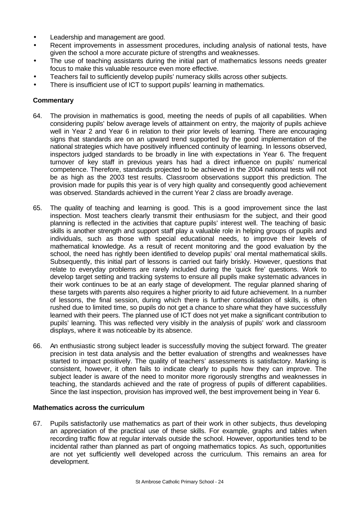- Leadership and management are good.
- Recent improvements in assessment procedures, including analysis of national tests, have given the school a more accurate picture of strengths and weaknesses.
- The use of teaching assistants during the initial part of mathematics lessons needs greater focus to make this valuable resource even more effective.
- Teachers fail to sufficiently develop pupils' numeracy skills across other subjects.
- There is insufficient use of ICT to support pupils' learning in mathematics.

# **Commentary**

- 64. The provision in mathematics is good, meeting the needs of pupils of all capabilities. When considering pupils' below average levels of attainment on entry, the majority of pupils achieve well in Year 2 and Year 6 in relation to their prior levels of learning. There are encouraging signs that standards are on an upward trend supported by the good implementation of the national strategies which have positively influenced continuity of learning. In lessons observed, inspectors judged standards to be broadly in line with expectations in Year 6. The frequent turnover of key staff in previous years has had a direct influence on pupils' numerical competence. Therefore, standards projected to be achieved in the 2004 national tests will not be as high as the 2003 test results. Classroom observations support this prediction. The provision made for pupils this year is of very high quality and consequently good achievement was observed. Standards achieved in the current Year 2 class are broadly average.
- 65. The quality of teaching and learning is good. This is a good improvement since the last inspection. Most teachers clearly transmit their enthusiasm for the subject, and their good planning is reflected in the activities that capture pupils' interest well. The teaching of basic skills is another strength and support staff play a valuable role in helping groups of pupils and individuals, such as those with special educational needs, to improve their levels of mathematical knowledge. As a result of recent monitoring and the good evaluation by the school, the need has rightly been identified to develop pupils' oral mental mathematical skills. Subsequently, this initial part of lessons is carried out fairly briskly. However, questions that relate to everyday problems are rarely included during the 'quick fire' questions. Work to develop target setting and tracking systems to ensure all pupils make systematic advances in their work continues to be at an early stage of development. The regular planned sharing of these targets with parents also requires a higher priority to aid future achievement. In a number of lessons, the final session, during which there is further consolidation of skills, is often rushed due to limited time, so pupils do not get a chance to share what they have successfully learned with their peers. The planned use of ICT does not yet make a significant contribution to pupils' learning. This was reflected very visibly in the analysis of pupils' work and classroom displays, where it was noticeable by its absence.
- 66. An enthusiastic strong subject leader is successfully moving the subject forward. The greater precision in test data analysis and the better evaluation of strengths and weaknesses have started to impact positively. The quality of teachers' assessments is satisfactory. Marking is consistent, however, it often fails to indicate clearly to pupils how they can improve. The subject leader is aware of the need to monitor more rigorously strengths and weaknesses in teaching, the standards achieved and the rate of progress of pupils of different capabilities. Since the last inspection, provision has improved well, the best improvement being in Year 6.

# **Mathematics across the curriculum**

67. Pupils satisfactorily use mathematics as part of their work in other subjects, thus developing an appreciation of the practical use of these skills. For example, graphs and tables when recording traffic flow at regular intervals outside the school. However, opportunities tend to be incidental rather than planned as part of ongoing mathematics topics. As such, opportunities are not yet sufficiently well developed across the curriculum. This remains an area for development.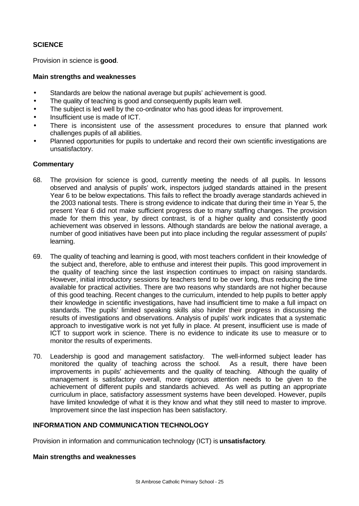# **SCIENCE**

Provision in science is **good**.

### **Main strengths and weaknesses**

- Standards are below the national average but pupils' achievement is good.
- The quality of teaching is good and consequently pupils learn well.
- The subject is led well by the co-ordinator who has good ideas for improvement.
- Insufficient use is made of ICT.
- There is inconsistent use of the assessment procedures to ensure that planned work challenges pupils of all abilities.
- Planned opportunities for pupils to undertake and record their own scientific investigations are unsatisfactory.

# **Commentary**

- 68. The provision for science is good, currently meeting the needs of all pupils. In lessons observed and analysis of pupils' work, inspectors judged standards attained in the present Year 6 to be below expectations. This fails to reflect the broadly average standards achieved in the 2003 national tests. There is strong evidence to indicate that during their time in Year 5, the present Year 6 did not make sufficient progress due to many staffing changes. The provision made for them this year, by direct contrast, is of a higher quality and consistently good achievement was observed in lessons. Although standards are below the national average, a number of good initiatives have been put into place including the regular assessment of pupils' learning.
- 69. The quality of teaching and learning is good, with most teachers confident in their knowledge of the subject and, therefore, able to enthuse and interest their pupils. This good improvement in the quality of teaching since the last inspection continues to impact on raising standards. However, initial introductory sessions by teachers tend to be over long, thus reducing the time available for practical activities. There are two reasons why standards are not higher because of this good teaching. Recent changes to the curriculum, intended to help pupils to better apply their knowledge in scientific investigations, have had insufficient time to make a full impact on standards. The pupils' limited speaking skills also hinder their progress in discussing the results of investigations and observations. Analysis of pupils' work indicates that a systematic approach to investigative work is not yet fully in place. At present, insufficient use is made of ICT to support work in science. There is no evidence to indicate its use to measure or to monitor the results of experiments.
- 70. Leadership is good and management satisfactory. The well-informed subject leader has monitored the quality of teaching across the school. As a result, there have been improvements in pupils' achievements and the quality of teaching. Although the quality of management is satisfactory overall, more rigorous attention needs to be given to the achievement of different pupils and standards achieved. As well as putting an appropriate curriculum in place, satisfactory assessment systems have been developed. However, pupils have limited knowledge of what it is they know and what they still need to master to improve. Improvement since the last inspection has been satisfactory.

# **INFORMATION AND COMMUNICATION TECHNOLOGY**

Provision in information and communication technology (ICT) is **unsatisfactory**.

#### **Main strengths and weaknesses**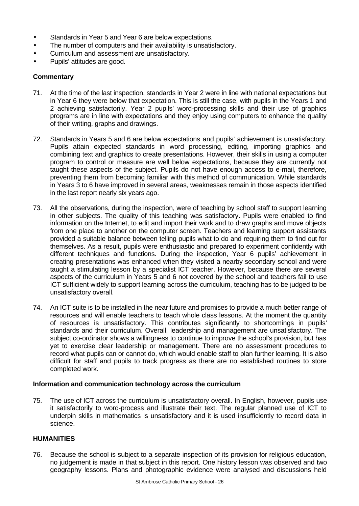- Standards in Year 5 and Year 6 are below expectations.
- The number of computers and their availability is unsatisfactory.
- Curriculum and assessment are unsatisfactory.
- Pupils' attitudes are good.

# **Commentary**

- 71. At the time of the last inspection, standards in Year 2 were in line with national expectations but in Year 6 they were below that expectation. This is still the case, with pupils in the Years 1 and 2 achieving satisfactorily. Year 2 pupils' word-processing skills and their use of graphics programs are in line with expectations and they enjoy using computers to enhance the quality of their writing, graphs and drawings.
- 72. Standards in Years 5 and 6 are below expectations and pupils' achievement is unsatisfactory. Pupils attain expected standards in word processing, editing, importing graphics and combining text and graphics to create presentations. However, their skills in using a computer program to control or measure are well below expectations, because they are currently not taught these aspects of the subject. Pupils do not have enough access to e-mail, therefore, preventing them from becoming familiar with this method of communication. While standards in Years 3 to 6 have improved in several areas, weaknesses remain in those aspects identified in the last report nearly six years ago.
- 73. All the observations, during the inspection, were of teaching by school staff to support learning in other subjects. The quality of this teaching was satisfactory. Pupils were enabled to find information on the Internet, to edit and import their work and to draw graphs and move objects from one place to another on the computer screen. Teachers and learning support assistants provided a suitable balance between telling pupils what to do and requiring them to find out for themselves. As a result, pupils were enthusiastic and prepared to experiment confidently with different techniques and functions. During the inspection, Year 6 pupils' achievement in creating presentations was enhanced when they visited a nearby secondary school and were taught a stimulating lesson by a specialist ICT teacher. However, because there are several aspects of the curriculum in Years 5 and 6 not covered by the school and teachers fail to use ICT sufficient widely to support learning across the curriculum, teaching has to be judged to be unsatisfactory overall.
- 74. An ICT suite is to be installed in the near future and promises to provide a much better range of resources and will enable teachers to teach whole class lessons. At the moment the quantity of resources is unsatisfactory. This contributes significantly to shortcomings in pupils' standards and their curriculum. Overall, leadership and management are unsatisfactory. The subject co-ordinator shows a willingness to continue to improve the school's provision, but has yet to exercise clear leadership or management. There are no assessment procedures to record what pupils can or cannot do, which would enable staff to plan further learning. It is also difficult for staff and pupils to track progress as there are no established routines to store completed work.

# **Information and communication technology across the curriculum**

75. The use of ICT across the curriculum is unsatisfactory overall. In English, however, pupils use it satisfactorily to word-process and illustrate their text. The regular planned use of ICT to underpin skills in mathematics is unsatisfactory and it is used insufficiently to record data in science.

# **HUMANITIES**

76. Because the school is subject to a separate inspection of its provision for religious education, no judgement is made in that subject in this report. One history lesson was observed and two geography lessons. Plans and photographic evidence were analysed and discussions held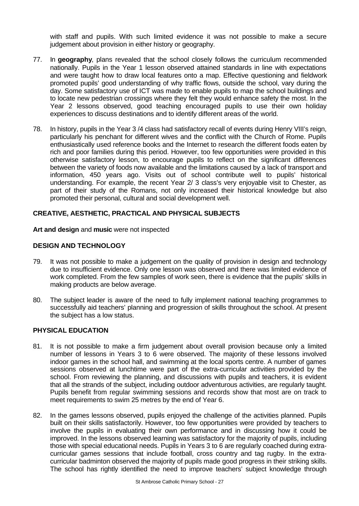with staff and pupils. With such limited evidence it was not possible to make a secure judgement about provision in either history or geography.

- 77. In **geography**, plans revealed that the school closely follows the curriculum recommended nationally. Pupils in the Year 1 lesson observed attained standards in line with expectations and were taught how to draw local features onto a map. Effective questioning and fieldwork promoted pupils' good understanding of why traffic flows, outside the school, vary during the day. Some satisfactory use of ICT was made to enable pupils to map the school buildings and to locate new pedestrian crossings where they felt they would enhance safety the most. In the Year 2 lessons observed, good teaching encouraged pupils to use their own holiday experiences to discuss destinations and to identify different areas of the world.
- 78. In history, pupils in the Year 3 /4 class had satisfactory recall of events during Henry VIII's reign, particularly his penchant for different wives and the conflict with the Church of Rome. Pupils enthusiastically used reference books and the Internet to research the different foods eaten by rich and poor families during this period. However, too few opportunities were provided in this otherwise satisfactory lesson, to encourage pupils to reflect on the significant differences between the variety of foods now available and the limitations caused by a lack of transport and information, 450 years ago. Visits out of school contribute well to pupils' historical understanding. For example, the recent Year 2/ 3 class's very enjoyable visit to Chester, as part of their study of the Romans, not only increased their historical knowledge but also promoted their personal, cultural and social development well.

# **CREATIVE, AESTHETIC, PRACTICAL AND PHYSICAL SUBJECTS**

#### **Art and design** and **music** were not inspected

#### **DESIGN AND TECHNOLOGY**

- 79. It was not possible to make a judgement on the quality of provision in design and technology due to insufficient evidence. Only one lesson was observed and there was limited evidence of work completed. From the few samples of work seen, there is evidence that the pupils' skills in making products are below average.
- 80. The subject leader is aware of the need to fully implement national teaching programmes to successfully aid teachers' planning and progression of skills throughout the school. At present the subject has a low status.

#### **PHYSICAL EDUCATION**

- 81. It is not possible to make a firm judgement about overall provision because only a limited number of lessons in Years 3 to 6 were observed. The majority of these lessons involved indoor games in the school hall, and swimming at the local sports centre. A number of games sessions observed at lunchtime were part of the extra-curricular activities provided by the school. From reviewing the planning, and discussions with pupils and teachers, it is evident that all the strands of the subject, including outdoor adventurous activities, are regularly taught. Pupils benefit from regular swimming sessions and records show that most are on track to meet requirements to swim 25 metres by the end of Year 6.
- 82. In the games lessons observed, pupils enjoyed the challenge of the activities planned. Pupils built on their skills satisfactorily. However, too few opportunities were provided by teachers to involve the pupils in evaluating their own performance and in discussing how it could be improved. In the lessons observed learning was satisfactory for the majority of pupils, including those with special educational needs. Pupils in Years 3 to 6 are regularly coached during extracurricular games sessions that include football, cross country and tag rugby. In the extracurricular badminton observed the majority of pupils made good progress in their striking skills. The school has rightly identified the need to improve teachers' subject knowledge through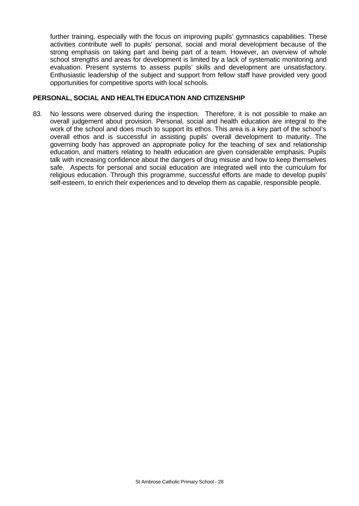further training, especially with the focus on improving pupils' gymnastics capabilities. These activities contribute well to pupils' personal, social and moral development because of the strong emphasis on taking part and being part of a team. However, an overview of whole school strengths and areas for development is limited by a lack of systematic monitoring and evaluation. Present systems to assess pupils' skills and development are unsatisfactory. Enthusiastic leadership of the subject and support from fellow staff have provided very good opportunities for competitive sports with local schools.

#### **PERSONAL, SOCIAL AND HEALTH EDUCATION AND CITIZENSHIP**

83. No lessons were observed during the inspection. Therefore, it is not possible to make an overall judgement about provision. Personal, social and health education are integral to the work of the school and does much to support its ethos. This area is a key part of the school's overall ethos and is successful in assisting pupils' overall development to maturity. The governing body has approved an appropriate policy for the teaching of sex and relationship education, and matters relating to health education are given considerable emphasis. Pupils talk with increasing confidence about the dangers of drug misuse and how to keep themselves safe. Aspects for personal and social education are integrated well into the curriculum for religious education. Through this programme, successful efforts are made to develop pupils' self-esteem, to enrich their experiences and to develop them as capable, responsible people.